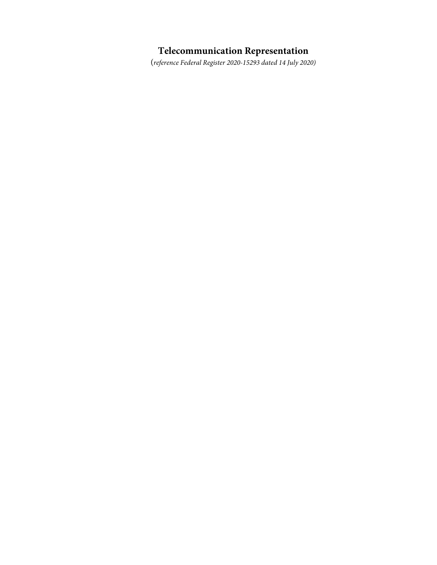# **Telecommunication Representation**

(*reference Federal Register 2020-15293 dated 14 July 2020)*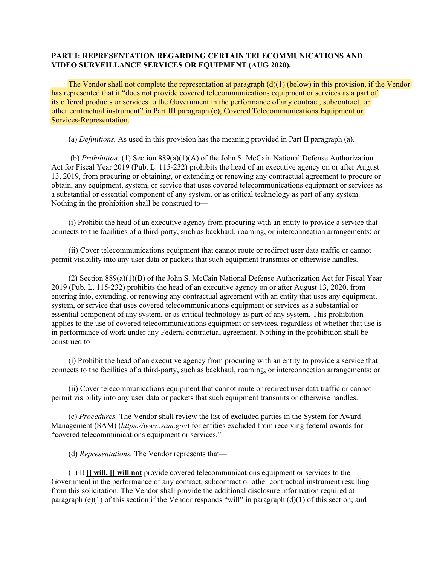## **PART I: REPRESENTATION REGARDING CERTAIN TELECOMMUNICATIONS AND VIDEO SURVEILLANCE SERVICES OR EQUIPMENT (AUG 2020).**

The Vendor shall not complete the representation at paragraph (d)(1) (below) in this provision, if the Vendor has represented that it "does not provide covered telecommunications equipment or services as a part of its offered products or services to the Government in the performance of any contract, subcontract, or other contractual instrument" in Part III paragraph (c), Covered Telecommunications Equipment or Services-Representation.

(a) *Definitions.* As used in this provision has the meaning provided in Part II paragraph (a).

(b) *Prohibition.* (1) Section 889(a)(1)(A) of the John S. McCain National Defense Authorization Act for Fiscal Year 2019 (Pub. L. 115-232) prohibits the head of an executive agency on or after August 13, 2019, from procuring or obtaining, or extending or renewing any contractual agreement to procure or obtain, any equipment, system, or service that uses covered telecommunications equipment or services as a substantial or essential component of any system, or as critical technology as part of any system. Nothing in the prohibition shall be construed to—

(i) Prohibit the head of an executive agency from procuring with an entity to provide a service that connects to the facilities of a third-party, such as backhaul, roaming, or interconnection arrangements; or

(ii) Cover telecommunications equipment that cannot route or redirect user data traffic or cannot permit visibility into any user data or packets that such equipment transmits or otherwise handles.

(2) Section 889(a)(1)(B) of the John S. McCain National Defense Authorization Act for Fiscal Year 2019 (Pub. L. 115-232) prohibits the head of an executive agency on or after August 13, 2020, from entering into, extending, or renewing any contractual agreement with an entity that uses any equipment, system, or service that uses covered telecommunications equipment or services as a substantial or essential component of any system, or as critical technology as part of any system. This prohibition applies to the use of covered telecommunications equipment or services, regardless of whether that use is in performance of work under any Federal contractual agreement. Nothing in the prohibition shall be construed to—

(i) Prohibit the head of an executive agency from procuring with an entity to provide a service that connects to the facilities of a third-party, such as backhaul, roaming, or interconnection arrangements; or

(ii) Cover telecommunications equipment that cannot route or redirect user data traffic or cannot permit visibility into any user data or packets that such equipment transmits or otherwise handles.

(c) *Procedures.* The Vendor shall review the list of excluded parties in the System for Award Management (SAM) (*https://www.sam.gov*) for entities excluded from receiving federal awards for "covered telecommunications equipment or services."

(d) *Representations.* The Vendor represents that—

(1) It **[] will, [] will not** provide covered telecommunications equipment or services to the Government in the performance of any contract, subcontract or other contractual instrument resulting from this solicitation. The Vendor shall provide the additional disclosure information required at paragraph  $(e)(1)$  of this section if the Vendor responds "will" in paragraph  $(d)(1)$  of this section; and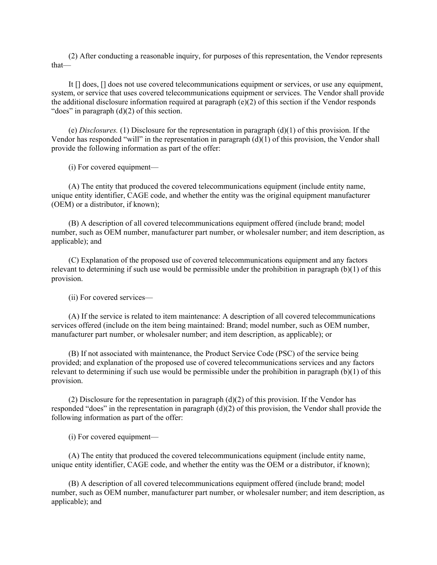(2) After conducting a reasonable inquiry, for purposes of this representation, the Vendor represents that—

It [] does, [] does not use covered telecommunications equipment or services, or use any equipment, system, or service that uses covered telecommunications equipment or services. The Vendor shall provide the additional disclosure information required at paragraph (e)(2) of this section if the Vendor responds "does" in paragraph  $(d)(2)$  of this section.

(e) *Disclosures.* (1) Disclosure for the representation in paragraph (d)(1) of this provision. If the Vendor has responded "will" in the representation in paragraph  $(d)(1)$  of this provision, the Vendor shall provide the following information as part of the offer:

(i) For covered equipment—

(A) The entity that produced the covered telecommunications equipment (include entity name, unique entity identifier, CAGE code, and whether the entity was the original equipment manufacturer (OEM) or a distributor, if known);

(B) A description of all covered telecommunications equipment offered (include brand; model number, such as OEM number, manufacturer part number, or wholesaler number; and item description, as applicable); and

(C) Explanation of the proposed use of covered telecommunications equipment and any factors relevant to determining if such use would be permissible under the prohibition in paragraph (b)(1) of this provision.

(ii) For covered services—

(A) If the service is related to item maintenance: A description of all covered telecommunications services offered (include on the item being maintained: Brand; model number, such as OEM number, manufacturer part number, or wholesaler number; and item description, as applicable); or

(B) If not associated with maintenance, the Product Service Code (PSC) of the service being provided; and explanation of the proposed use of covered telecommunications services and any factors relevant to determining if such use would be permissible under the prohibition in paragraph (b)(1) of this provision.

(2) Disclosure for the representation in paragraph  $(d)(2)$  of this provision. If the Vendor has responded "does" in the representation in paragraph (d)(2) of this provision, the Vendor shall provide the following information as part of the offer:

(i) For covered equipment—

(A) The entity that produced the covered telecommunications equipment (include entity name, unique entity identifier, CAGE code, and whether the entity was the OEM or a distributor, if known);

(B) A description of all covered telecommunications equipment offered (include brand; model number, such as OEM number, manufacturer part number, or wholesaler number; and item description, as applicable); and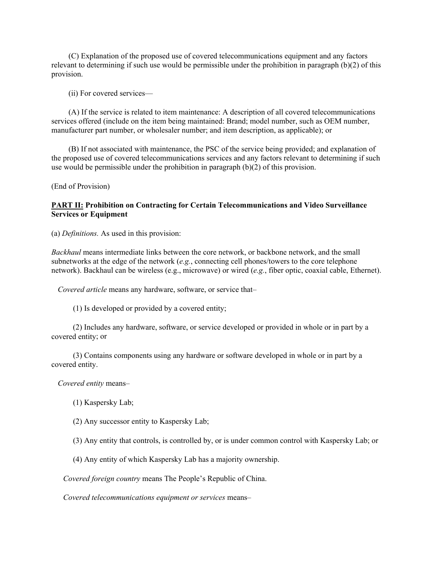(C) Explanation of the proposed use of covered telecommunications equipment and any factors relevant to determining if such use would be permissible under the prohibition in paragraph (b)(2) of this provision.

(ii) For covered services—

(A) If the service is related to item maintenance: A description of all covered telecommunications services offered (include on the item being maintained: Brand; model number, such as OEM number, manufacturer part number, or wholesaler number; and item description, as applicable); or

(B) If not associated with maintenance, the PSC of the service being provided; and explanation of the proposed use of covered telecommunications services and any factors relevant to determining if such use would be permissible under the prohibition in paragraph (b)(2) of this provision.

(End of Provision)

### **PART II: Prohibition on Contracting for Certain Telecommunications and Video Surveillance Services or Equipment**

(a) *Definitions.* As used in this provision:

*Backhaul* means intermediate links between the core network, or backbone network, and the small subnetworks at the edge of the network (*e.g.*, connecting cell phones/towers to the core telephone network). Backhaul can be wireless (e.g., microwave) or wired (*e.g.*, fiber optic, coaxial cable, Ethernet).

*Covered article* means any hardware, software, or service that–

(1) Is developed or provided by a covered entity;

(2) Includes any hardware, software, or service developed or provided in whole or in part by a covered entity; or

(3) Contains components using any hardware or software developed in whole or in part by a covered entity.

*Covered entity* means–

- (1) Kaspersky Lab;
- (2) Any successor entity to Kaspersky Lab;
- (3) Any entity that controls, is controlled by, or is under common control with Kaspersky Lab; or
- (4) Any entity of which Kaspersky Lab has a majority ownership.

*Covered foreign country* means The People's Republic of China.

*Covered telecommunications equipment or services* means–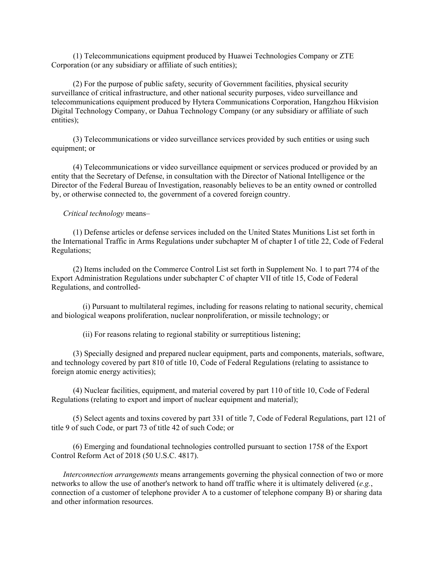(1) Telecommunications equipment produced by Huawei Technologies Company or ZTE Corporation (or any subsidiary or affiliate of such entities);

(2) For the purpose of public safety, security of Government facilities, physical security surveillance of critical infrastructure, and other national security purposes, video surveillance and telecommunications equipment produced by Hytera Communications Corporation, Hangzhou Hikvision Digital Technology Company, or Dahua Technology Company (or any subsidiary or affiliate of such entities);

(3) Telecommunications or video surveillance services provided by such entities or using such equipment; or

(4) Telecommunications or video surveillance equipment or services produced or provided by an entity that the Secretary of Defense, in consultation with the Director of National Intelligence or the Director of the Federal Bureau of Investigation, reasonably believes to be an entity owned or controlled by, or otherwise connected to, the government of a covered foreign country.

#### *Critical technology* means–

(1) Defense articles or defense services included on the United States Munitions List set forth in the International Traffic in Arms Regulations under subchapter M of chapter I of title 22, Code of Federal Regulations;

(2) Items included on the Commerce Control List set forth in Supplement No. 1 to part 774 of the Export Administration Regulations under subchapter C of chapter VII of title 15, Code of Federal Regulations, and controlled-

(i) Pursuant to multilateral regimes, including for reasons relating to national security, chemical and biological weapons proliferation, nuclear nonproliferation, or missile technology; or

(ii) For reasons relating to regional stability or surreptitious listening;

(3) Specially designed and prepared nuclear equipment, parts and components, materials, software, and technology covered by part 810 of title 10, Code of Federal Regulations (relating to assistance to foreign atomic energy activities);

(4) Nuclear facilities, equipment, and material covered by part 110 of title 10, Code of Federal Regulations (relating to export and import of nuclear equipment and material);

(5) Select agents and toxins covered by part 331 of title 7, Code of Federal Regulations, part 121 of title 9 of such Code, or part 73 of title 42 of such Code; or

(6) Emerging and foundational technologies controlled pursuant to section 1758 of the Export Control Reform Act of 2018 (50 U.S.C. 4817).

 *Interconnection arrangements* means arrangements governing the physical connection of two or more networks to allow the use of another's network to hand off traffic where it is ultimately delivered (*e.g.*, connection of a customer of telephone provider A to a customer of telephone company B) or sharing data and other information resources.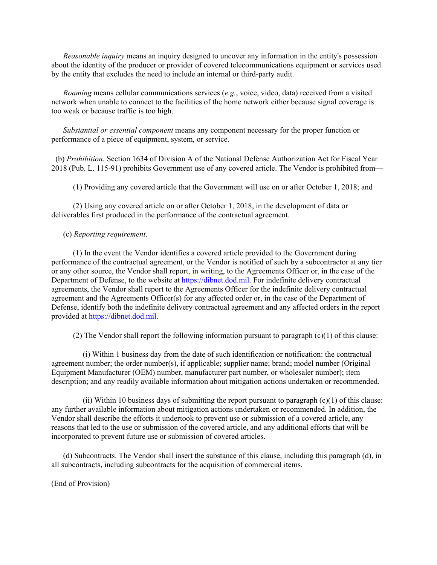*Reasonable inquiry* means an inquiry designed to uncover any information in the entity's possession about the identity of the producer or provider of covered telecommunications equipment or services used by the entity that excludes the need to include an internal or third-party audit.

 *Roaming* means cellular communications services (*e.g.*, voice, video, data) received from a visited network when unable to connect to the facilities of the home network either because signal coverage is too weak or because traffic is too high.

 *Substantial or essential component* means any component necessary for the proper function or performance of a piece of equipment, system, or service.

(b) *Prohibition*. Section 1634 of Division A of the National Defense Authorization Act for Fiscal Year 2018 (Pub. L. 115-91) prohibits Government use of any covered article. The Vendor is prohibited from—

(1) Providing any covered article that the Government will use on or after October 1, 2018; and

(2) Using any covered article on or after October 1, 2018, in the development of data or deliverables first produced in the performance of the contractual agreement.

#### (c) *Reporting requirement*.

(1) In the event the Vendor identifies a covered article provided to the Government during performance of the contractual agreement, or the Vendor is notified of such by a subcontractor at any tier or any other source, the Vendor shall report, in writing, to the Agreements Officer or, in the case of the Department of Defense, to the website at https://dibnet.dod.mil. For indefinite delivery contractual agreements, the Vendor shall report to the Agreements Officer for the indefinite delivery contractual agreement and the Agreements Officer(s) for any affected order or, in the case of the Department of Defense, identify both the indefinite delivery contractual agreement and any affected orders in the report provided at https://dibnet.dod.mil.

(2) The Vendor shall report the following information pursuant to paragraph  $(c)(1)$  of this clause:

(i) Within 1 business day from the date of such identification or notification: the contractual agreement number; the order number(s), if applicable; supplier name; brand; model number (Original Equipment Manufacturer (OEM) number, manufacturer part number, or wholesaler number); item description; and any readily available information about mitigation actions undertaken or recommended.

(ii) Within 10 business days of submitting the report pursuant to paragraph  $(c)(1)$  of this clause: any further available information about mitigation actions undertaken or recommended. In addition, the Vendor shall describe the efforts it undertook to prevent use or submission of a covered article, any reasons that led to the use or submission of the covered article, and any additional efforts that will be incorporated to prevent future use or submission of covered articles.

(d) Subcontracts. The Vendor shall insert the substance of this clause, including this paragraph (d), in all subcontracts, including subcontracts for the acquisition of commercial items.

(End of Provision)